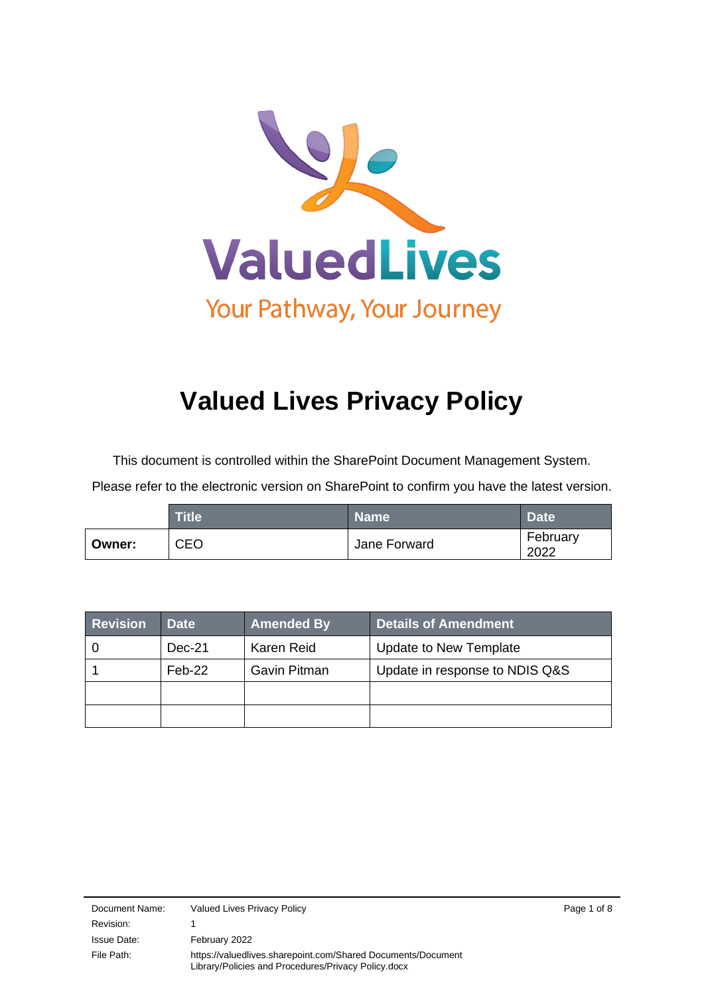

# **Valued Lives Privacy Policy**

This document is controlled within the SharePoint Document Management System.

Please refer to the electronic version on SharePoint to confirm you have the latest version.

|        | <b>Title</b> | <b>Name</b>  | <b>Date</b>      |
|--------|--------------|--------------|------------------|
| Owner: | <b>CEO</b>   | Jane Forward | February<br>2022 |

| <b>Revision</b> | <b>Date</b> | <b>Amended By</b> | Details of Amendment           |
|-----------------|-------------|-------------------|--------------------------------|
|                 | Dec-21      | Karen Reid        | Update to New Template         |
|                 | $Feb-22$    | Gavin Pitman      | Update in response to NDIS Q&S |
|                 |             |                   |                                |
|                 |             |                   |                                |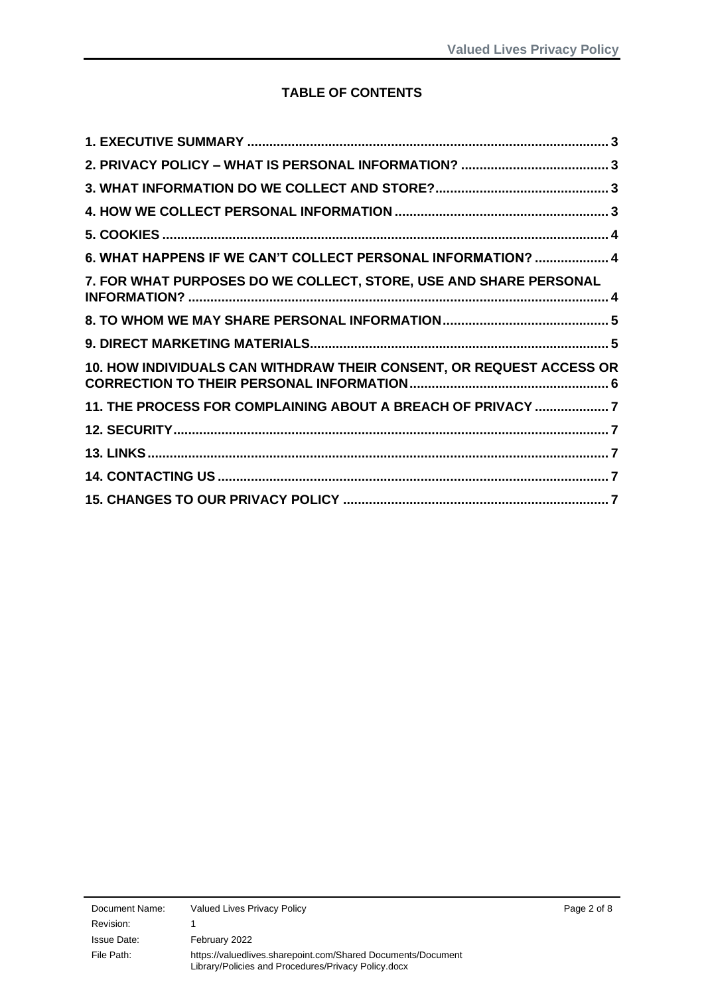## **TABLE OF CONTENTS**

| 6. WHAT HAPPENS IF WE CAN'T COLLECT PERSONAL INFORMATION?  4         |
|----------------------------------------------------------------------|
| 7. FOR WHAT PURPOSES DO WE COLLECT, STORE, USE AND SHARE PERSONAL    |
|                                                                      |
|                                                                      |
| 10. HOW INDIVIDUALS CAN WITHDRAW THEIR CONSENT, OR REQUEST ACCESS OR |
| 11. THE PROCESS FOR COMPLAINING ABOUT A BREACH OF PRIVACY 7          |
|                                                                      |
|                                                                      |
|                                                                      |
|                                                                      |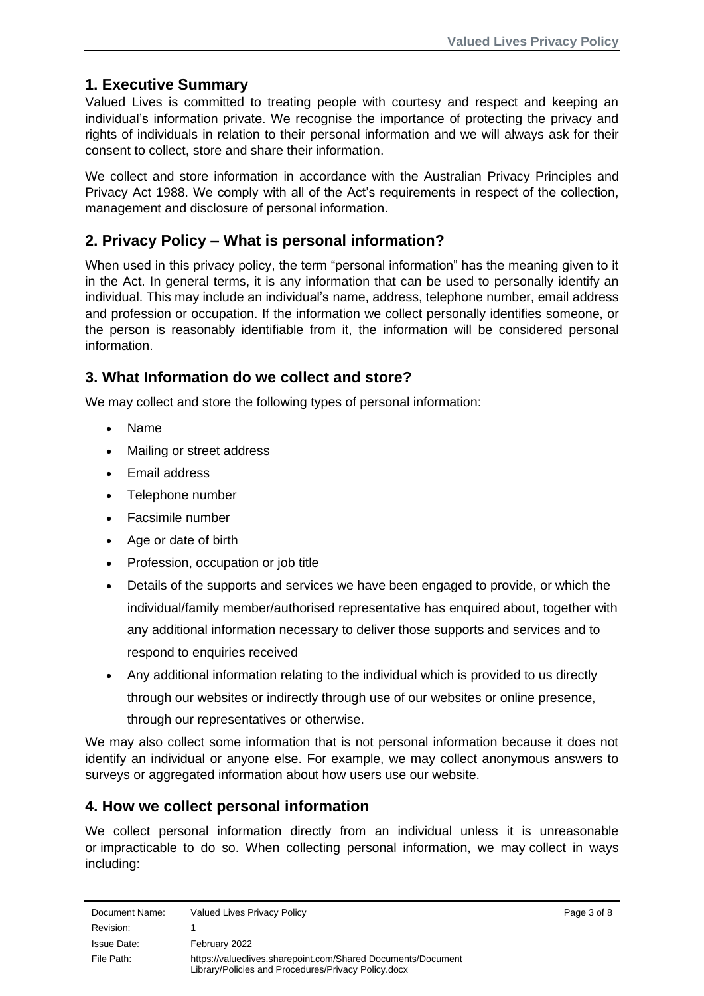## <span id="page-2-0"></span>**1. Executive Summary**

Valued Lives is committed to treating people with courtesy and respect and keeping an individual's information private. We recognise the importance of protecting the privacy and rights of individuals in relation to their personal information and we will always ask for their consent to collect, store and share their information.

We collect and store information in accordance with the Australian Privacy Principles and Privacy Act 1988. We comply with all of the Act's requirements in respect of the collection, management and disclosure of personal information.

# <span id="page-2-1"></span>**2. Privacy Policy – What is personal information?**

When used in this privacy policy, the term "personal information" has the meaning given to it in the Act. In general terms, it is any information that can be used to personally identify an individual. This may include an individual's name, address, telephone number, email address and profession or occupation. If the information we collect personally identifies someone, or the person is reasonably identifiable from it, the information will be considered personal information.

## <span id="page-2-2"></span>**3. What Information do we collect and store?**

We may collect and store the following types of personal information:

- Name
- Mailing or street address
- Email address
- Telephone number
- Facsimile number
- Age or date of birth
- Profession, occupation or job title
- Details of the supports and services we have been engaged to provide, or which the individual/family member/authorised representative has enquired about, together with any additional information necessary to deliver those supports and services and to respond to enquiries received
- Any additional information relating to the individual which is provided to us directly through our websites or indirectly through use of our websites or online presence, through our representatives or otherwise.

We may also collect some information that is not personal information because it does not identify an individual or anyone else. For example, we may collect anonymous answers to surveys or aggregated information about how users use our website.

## <span id="page-2-3"></span>**4. How we collect personal information**

We collect personal information directly from an individual unless it is unreasonable or impracticable to do so. When collecting personal information, we may collect in ways including: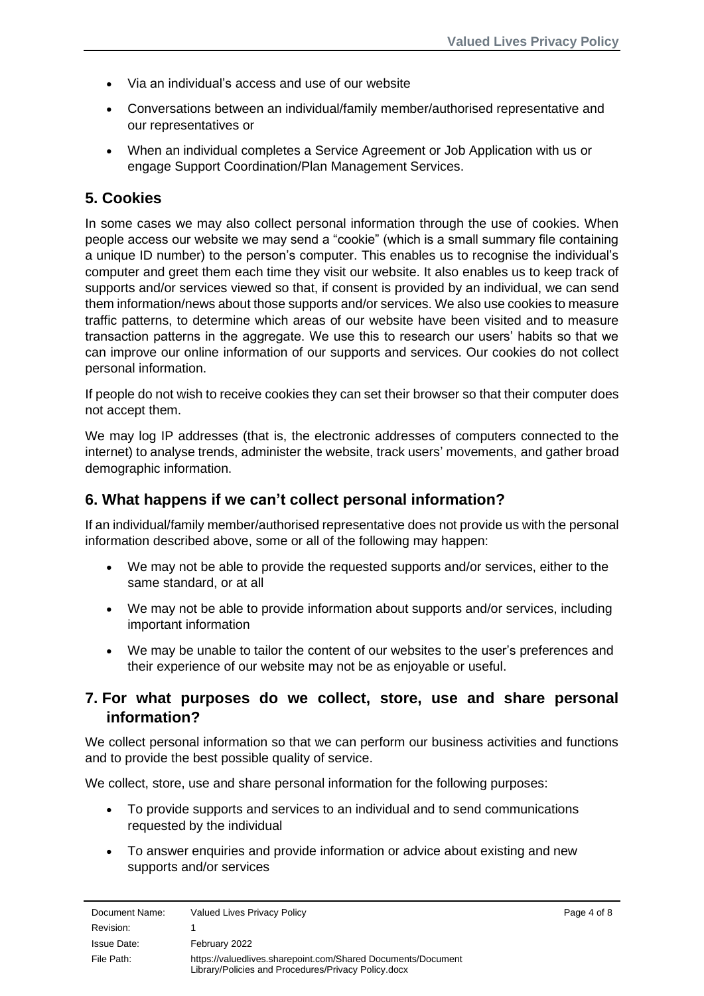- Via an individual's access and use of our website
- Conversations between an individual/family member/authorised representative and our representatives or
- When an individual completes a Service Agreement or Job Application with us or engage Support Coordination/Plan Management Services.

## <span id="page-3-0"></span>**5. Cookies**

In some cases we may also collect personal information through the use of cookies. When people access our website we may send a "cookie" (which is a small summary file containing a unique ID number) to the person's computer. This enables us to recognise the individual's computer and greet them each time they visit our website. It also enables us to keep track of supports and/or services viewed so that, if consent is provided by an individual, we can send them information/news about those supports and/or services. We also use cookies to measure traffic patterns, to determine which areas of our website have been visited and to measure transaction patterns in the aggregate. We use this to research our users' habits so that we can improve our online information of our supports and services. Our cookies do not collect personal information.

If people do not wish to receive cookies they can set their browser so that their computer does not accept them.

We may log IP addresses (that is, the electronic addresses of computers connected to the internet) to analyse trends, administer the website, track users' movements, and gather broad demographic information.

#### <span id="page-3-1"></span>**6. What happens if we can't collect personal information?**

If an individual/family member/authorised representative does not provide us with the personal information described above, some or all of the following may happen:

- We may not be able to provide the requested supports and/or services, either to the same standard, or at all
- We may not be able to provide information about supports and/or services, including important information
- We may be unable to tailor the content of our websites to the user's preferences and their experience of our website may not be as enjoyable or useful.

## <span id="page-3-2"></span>**7. For what purposes do we collect, store, use and share personal information?**

We collect personal information so that we can perform our business activities and functions and to provide the best possible quality of service.

We collect, store, use and share personal information for the following purposes:

- To provide supports and services to an individual and to send communications requested by the individual
- To answer enquiries and provide information or advice about existing and new supports and/or services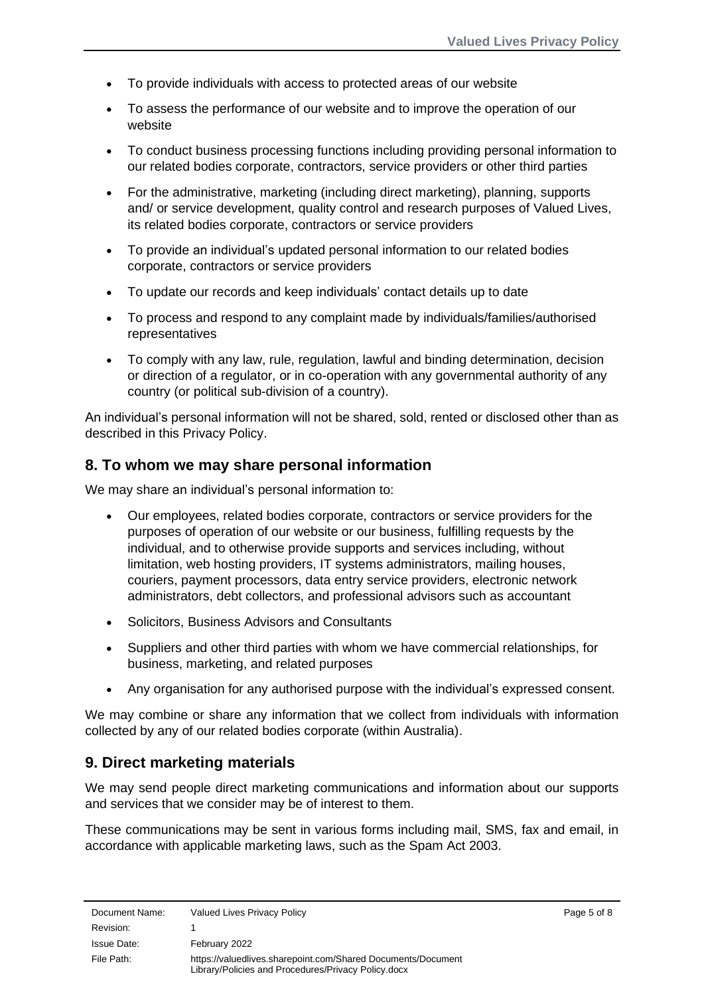- To provide individuals with access to protected areas of our website
- To assess the performance of our website and to improve the operation of our website
- To conduct business processing functions including providing personal information to our related bodies corporate, contractors, service providers or other third parties
- For the administrative, marketing (including direct marketing), planning, supports and/ or service development, quality control and research purposes of Valued Lives, its related bodies corporate, contractors or service providers
- To provide an individual's updated personal information to our related bodies corporate, contractors or service providers
- To update our records and keep individuals' contact details up to date
- To process and respond to any complaint made by individuals/families/authorised representatives
- To comply with any law, rule, regulation, lawful and binding determination, decision or direction of a regulator, or in co-operation with any governmental authority of any country (or political sub-division of a country).

An individual's personal information will not be shared, sold, rented or disclosed other than as described in this Privacy Policy.

#### <span id="page-4-0"></span>**8. To whom we may share personal information**

We may share an individual's personal information to:

- Our employees, related bodies corporate, contractors or service providers for the purposes of operation of our website or our business, fulfilling requests by the individual, and to otherwise provide supports and services including, without limitation, web hosting providers, IT systems administrators, mailing houses, couriers, payment processors, data entry service providers, electronic network administrators, debt collectors, and professional advisors such as accountant
- Solicitors, Business Advisors and Consultants
- Suppliers and other third parties with whom we have commercial relationships, for business, marketing, and related purposes
- Any organisation for any authorised purpose with the individual's expressed consent.

We may combine or share any information that we collect from individuals with information collected by any of our related bodies corporate (within Australia).

#### <span id="page-4-1"></span>**9. Direct marketing materials**

We may send people direct marketing communications and information about our supports and services that we consider may be of interest to them.

These communications may be sent in various forms including mail, SMS, fax and email, in accordance with applicable marketing laws, such as the Spam Act 2003.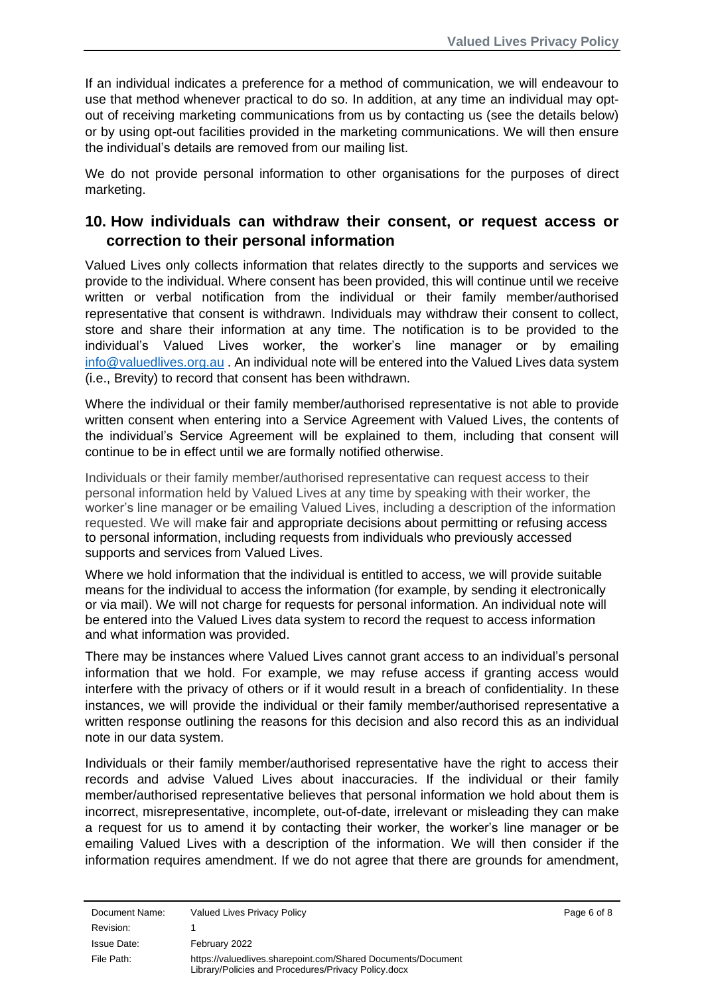If an individual indicates a preference for a method of communication, we will endeavour to use that method whenever practical to do so. In addition, at any time an individual may optout of receiving marketing communications from us by contacting us (see the details below) or by using opt-out facilities provided in the marketing communications. We will then ensure the individual's details are removed from our mailing list.

We do not provide personal information to other organisations for the purposes of direct marketing.

## <span id="page-5-0"></span>**10. How individuals can withdraw their consent, or request access or correction to their personal information**

Valued Lives only collects information that relates directly to the supports and services we provide to the individual. Where consent has been provided, this will continue until we receive written or verbal notification from the individual or their family member/authorised representative that consent is withdrawn. Individuals may withdraw their consent to collect, store and share their information at any time. The notification is to be provided to the individual's Valued Lives worker, the worker's line manager or by emailing [info@valuedlives.org.au](mailto:info@valuedlives.org.au) . An individual note will be entered into the Valued Lives data system (i.e., Brevity) to record that consent has been withdrawn.

Where the individual or their family member/authorised representative is not able to provide written consent when entering into a Service Agreement with Valued Lives, the contents of the individual's Service Agreement will be explained to them, including that consent will continue to be in effect until we are formally notified otherwise.

Individuals or their family member/authorised representative can request access to their personal information held by Valued Lives at any time by speaking with their worker, the worker's line manager or be emailing Valued Lives, including a description of the information requested. We will make fair and appropriate decisions about permitting or refusing access to personal information, including requests from individuals who previously accessed supports and services from Valued Lives.

Where we hold information that the individual is entitled to access, we will provide suitable means for the individual to access the information (for example, by sending it electronically or via mail). We will not charge for requests for personal information. An individual note will be entered into the Valued Lives data system to record the request to access information and what information was provided.

There may be instances where Valued Lives cannot grant access to an individual's personal information that we hold. For example, we may refuse access if granting access would interfere with the privacy of others or if it would result in a breach of confidentiality. In these instances, we will provide the individual or their family member/authorised representative a written response outlining the reasons for this decision and also record this as an individual note in our data system.

Individuals or their family member/authorised representative have the right to access their records and advise Valued Lives about inaccuracies. If the individual or their family member/authorised representative believes that personal information we hold about them is incorrect, misrepresentative, incomplete, out-of-date, irrelevant or misleading they can make a request for us to amend it by contacting their worker, the worker's line manager or be emailing Valued Lives with a description of the information. We will then consider if the information requires amendment. If we do not agree that there are grounds for amendment,